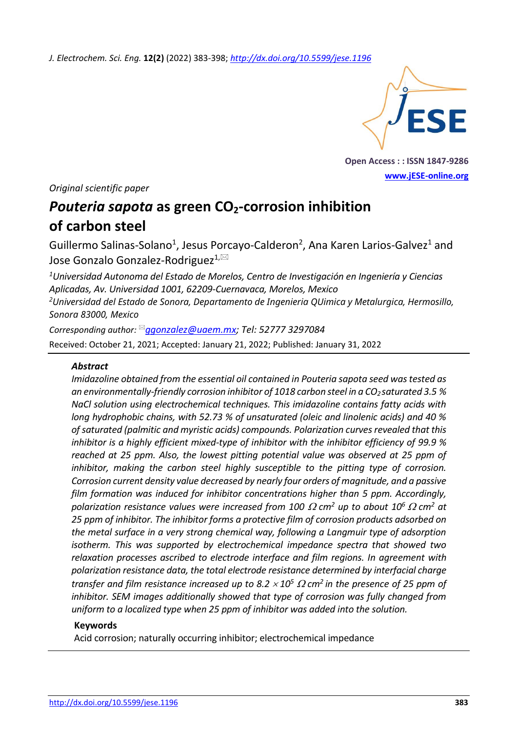*J. Electrochem. Sci. Eng.* **12(2)** (2022) 383-398; *<http://dx.doi.org/10.5599/jese.1196>*



**Open Access : : ISSN 1847-9286 [www.jESE-online.org](http://www.jese-online.org/)**

*Original scientific paper*

# *Pouteria sapota* **as green CO2-corrosion inhibition of carbon steel**

Guillermo Salinas-Solano<sup>1</sup>, Jesus Porcayo-Calderon<sup>2</sup>, Ana Karen Larios-Galvez<sup>1</sup> and Jose Gonzalo Gonzalez-Rodriguez<sup>1,⊠</sup>

*<sup>1</sup>Universidad Autonoma del Estado de Morelos, Centro de Investigación en Ingeniería y Ciencias Aplicadas, Av. Universidad 1001, 62209-Cuernavaca, Morelos, Mexico <sup>2</sup>Universidad del Estado de Sonora, Departamento de Ingenieria QUimica y Metalurgica, Hermosillo, Sonora 83000, Mexico*

*Corresponding author: [ggonzalez@uaem.mx;](mailto:ggonzalez@uaem.mx) Tel: 52777 3297084* Received: October 21, 2021; Accepted: January 21, 2022; Published: January 31, 2022

# *Abstract*

*Imidazoline obtained from the essential oil contained in Pouteria sapota seed was tested as an environmentally-friendly corrosion inhibitor of 1018 carbon steel in a CO2 saturated 3.5 % NaCl solution using electrochemical techniques. This imidazoline contains fatty acids with long hydrophobic chains, with 52.73 % of unsaturated (oleic and linolenic acids) and 40 % of saturated (palmitic and myristic acids) compounds. Polarization curves revealed that this inhibitor is a highly efficient mixed-type of inhibitor with the inhibitor efficiency of 99.9 % reached at 25 ppm. Also, the lowest pitting potential value was observed at 25 ppm of inhibitor, making the carbon steel highly susceptible to the pitting type of corrosion. Corrosion current density value decreased by nearly four orders of magnitude, and a passive film formation was induced for inhibitor concentrations higher than 5 ppm. Accordingly, polarization resistance values were increased from 100*  $\Omega$  *cm<sup>2</sup> up to about 10<sup>6</sup>*  $\Omega$  *cm<sup>2</sup> at 25 ppm of inhibitor. The inhibitor forms a protective film of corrosion products adsorbed on the metal surface in a very strong chemical way, following a Langmuir type of adsorption isotherm. This was supported by electrochemical impedance spectra that showed two relaxation processes ascribed to electrode interface and film regions. In agreement with polarization resistance data, the total electrode resistance determined by interfacial charge transfer and film resistance increased up to 8.2*  $\times$  *10<sup>5</sup>*  $\Omega$  *cm<sup>2</sup> in the presence of 25 ppm of inhibitor. SEM images additionally showed that type of corrosion was fully changed from uniform to a localized type when 25 ppm of inhibitor was added into the solution.*

## **Keywords**

Acid corrosion; naturally occurring inhibitor; electrochemical impedance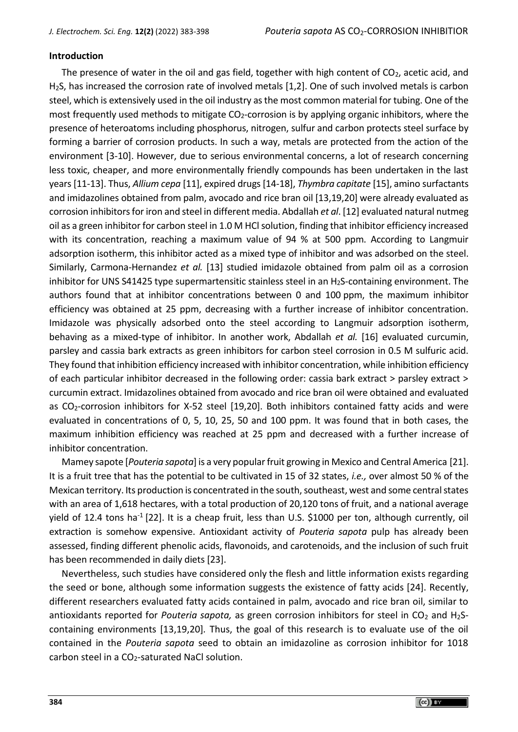# **Introduction**

The presence of water in the oil and gas field, together with high content of  $CO<sub>2</sub>$ , acetic acid, and H2S, has increased the corrosion rate of involved metals [1,2]. One of such involved metals is carbon steel, which is extensively used in the oil industry as the most common material for tubing. One of the most frequently used methods to mitigate  $CO<sub>2</sub>$ -corrosion is by applying organic inhibitors, where the presence of heteroatoms including phosphorus, nitrogen, sulfur and carbon protects steel surface by forming a barrier of corrosion products. In such a way, metals are protected from the action of the environment [3-10]. However, due to serious environmental concerns, a lot of research concerning less toxic, cheaper, and more environmentally friendly compounds has been undertaken in the last years [11-13]. Thus, *Allium cepa* [11], expired drugs [14-18], *Thymbra capitate* [15], amino surfactants and imidazolines obtained from palm, avocado and rice bran oil [13,19,20] were already evaluated as corrosion inhibitors for iron and steel in different media. Abdallah *et al*. [12] evaluated natural nutmeg oil as a green inhibitor for carbon steel in 1.0 M HCl solution, finding that inhibitor efficiency increased with its concentration, reaching a maximum value of 94 % at 500 ppm. According to Langmuir adsorption isotherm, this inhibitor acted as a mixed type of inhibitor and was adsorbed on the steel. Similarly, Carmona-Hernandez *et al.* [13] studied imidazole obtained from palm oil as a corrosion inhibitor for UNS S41425 type supermartensitic stainless steel in an  $H_2S$ -containing environment. The authors found that at inhibitor concentrations between 0 and 100 ppm, the maximum inhibitor efficiency was obtained at 25 ppm, decreasing with a further increase of inhibitor concentration. Imidazole was physically adsorbed onto the steel according to Langmuir adsorption isotherm, behaving as a mixed-type of inhibitor. In another work, Abdallah *et al.* [16] evaluated curcumin, parsley and cassia bark extracts as green inhibitors for carbon steel corrosion in 0.5 M sulfuric acid. They found that inhibition efficiency increased with inhibitor concentration, while inhibition efficiency of each particular inhibitor decreased in the following order: cassia bark extract > parsley extract > curcumin extract. Imidazolines obtained from avocado and rice bran oil were obtained and evaluated as CO2-corrosion inhibitors for X-52 steel [19,20]. Both inhibitors contained fatty acids and were evaluated in concentrations of 0, 5, 10, 25, 50 and 100 ppm. It was found that in both cases, the maximum inhibition efficiency was reached at 25 ppm and decreased with a further increase of inhibitor concentration.

Mamey sapote [*Pouteria sapota*] is a very popular fruit growing in Mexico and Central America [21]. It is a fruit tree that has the potential to be cultivated in 15 of 32 states, *i.e.,* over almost 50 % of the Mexican territory. Its production is concentrated in the south, southeast, west and some central states with an area of 1,618 hectares, with a total production of 20,120 tons of fruit, and a national average yield of 12.4 tons ha<sup>-1</sup> [22]. It is a cheap fruit, less than U.S. \$1000 per ton, although currently, oil extraction is somehow expensive. Antioxidant activity of *Pouteria sapota* pulp has already been assessed, finding different phenolic acids, flavonoids, and carotenoids, and the inclusion of such fruit has been recommended in daily diets [23].

Nevertheless, such studies have considered only the flesh and little information exists regarding the seed or bone, although some information suggests the existence of fatty acids [24]. Recently, different researchers evaluated fatty acids contained in palm, avocado and rice bran oil, similar to antioxidants reported for *Pouteria sapota*, as green corrosion inhibitors for steel in CO<sub>2</sub> and H<sub>2</sub>Scontaining environments [13,19,20]*.* Thus, the goal of this research is to evaluate use of the oil contained in the *Pouteria sapota* seed to obtain an imidazoline as corrosion inhibitor for 1018 carbon steel in a CO<sub>2</sub>-saturated NaCl solution.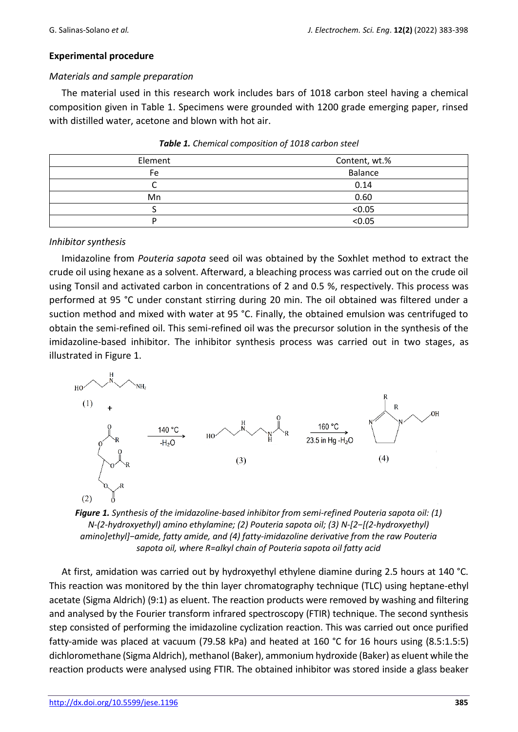## **Experimental procedure**

## *Materials and sample preparation*

The material used in this research work includes bars of 1018 carbon steel having a chemical composition given in Table 1. Specimens were grounded with 1200 grade emerging paper, rinsed with distilled water, acetone and blown with hot air.

| Element | Content, wt.% |  |  |
|---------|---------------|--|--|
| Fe      | Balance       |  |  |
|         | 0.14          |  |  |
| Mn      | 0.60          |  |  |
|         | < 0.05        |  |  |
| ח       | < 0.05        |  |  |

| Table 1. Chemical composition of 1018 carbon steel |  |  |  |
|----------------------------------------------------|--|--|--|
|----------------------------------------------------|--|--|--|

#### *Inhibitor synthesis*

Imidazoline from *Pouteria sapota* seed oil was obtained by the Soxhlet method to extract the crude oil using hexane as a solvent. Afterward, a bleaching process was carried out on the crude oil using Tonsil and activated carbon in concentrations of 2 and 0.5 %, respectively. This process was performed at 95 °C under constant stirring during 20 min. The oil obtained was filtered under a suction method and mixed with water at 95 °C. Finally, the obtained emulsion was centrifuged to obtain the semi-refined oil. This semi-refined oil was the precursor solution in the synthesis of the imidazoline-based inhibitor. The inhibitor synthesis process was carried out in two stages, as illustrated in Figure 1.



*Figure 1. Synthesis of the imidazoline-based inhibitor from semi-refined Pouteria sapota oil: (1) N-(2-hydroxyethyl) amino ethylamine; (2) Pouteria sapota oil; (3) N-[2−[(2-hydroxyethyl) amino]ethyl]−amide, fatty amide, and (4) fatty-imidazoline derivative from the raw Pouteria sapota oil, where R=alkyl chain of Pouteria sapota oil fatty acid*

At first, amidation was carried out by hydroxyethyl ethylene diamine during 2.5 hours at 140 °C. This reaction was monitored by the thin layer chromatography technique (TLC) using heptane-ethyl acetate (Sigma Aldrich) (9:1) as eluent. The reaction products were removed by washing and filtering and analysed by the Fourier transform infrared spectroscopy (FTIR) technique. The second synthesis step consisted of performing the imidazoline cyclization reaction. This was carried out once purified fatty-amide was placed at vacuum (79.58 kPa) and heated at 160 °C for 16 hours using (8.5:1.5:5) dichloromethane (Sigma Aldrich), methanol (Baker), ammonium hydroxide (Baker) as eluent while the reaction products were analysed using FTIR. The obtained inhibitor was stored inside a glass beaker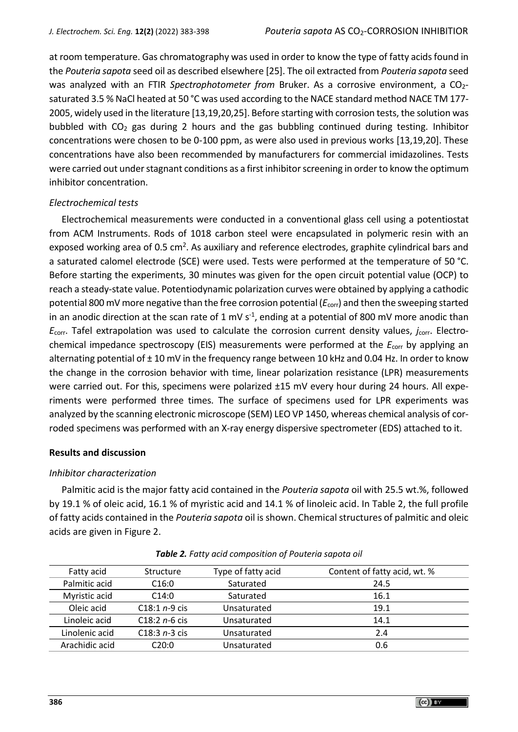at room temperature. Gas chromatography was used in order to know the type of fatty acids found in the *Pouteria sapota* seed oil as described elsewhere [25]. The oil extracted from *Pouteria sapota* seed was analyzed with an FTIR *Spectrophotometer from* Bruker. As a corrosive environment, a CO<sub>2</sub>saturated 3.5 % NaCl heated at 50 °C was used according to the NACE standard method NACE TM 177- 2005, widely used in the literature [13,19,20,25]. Before starting with corrosion tests, the solution was bubbled with  $CO<sub>2</sub>$  gas during 2 hours and the gas bubbling continued during testing. Inhibitor concentrations were chosen to be 0-100 ppm, as were also used in previous works [13,19,20]. These concentrations have also been recommended by manufacturers for commercial imidazolines. Tests were carried out under stagnant conditions as a first inhibitor screening in order to know the optimum inhibitor concentration.

## *Electrochemical tests*

Electrochemical measurements were conducted in a conventional glass cell using a potentiostat from ACM Instruments. Rods of 1018 carbon steel were encapsulated in polymeric resin with an exposed working area of 0.5 cm<sup>2</sup>. As auxiliary and reference electrodes, graphite cylindrical bars and a saturated calomel electrode (SCE) were used. Tests were performed at the temperature of 50 °C. Before starting the experiments, 30 minutes was given for the open circuit potential value (OCP) to reach a steady-state value. Potentiodynamic polarization curves were obtained by applying a cathodic potential 800 mV more negative than the free corrosion potential (*E*corr) and then the sweeping started in an anodic direction at the scan rate of 1 mV  $s<sup>-1</sup>$ , ending at a potential of 800 mV more anodic than *E*<sub>corr</sub>. Tafel extrapolation was used to calculate the corrosion current density values, *j*<sub>corr</sub>. Electrochemical impedance spectroscopy (EIS) measurements were performed at the *E*corr by applying an alternating potential of ± 10 mV in the frequency range between 10 kHz and 0.04 Hz. In order to know the change in the corrosion behavior with time, linear polarization resistance (LPR) measurements were carried out. For this, specimens were polarized ±15 mV every hour during 24 hours. All experiments were performed three times. The surface of specimens used for LPR experiments was analyzed by the scanning electronic microscope (SEM) LEO VP 1450, whereas chemical analysis of corroded specimens was performed with an X-ray energy dispersive spectrometer (EDS) attached to it.

## **Results and discussion**

## *Inhibitor characterization*

Palmitic acid is the major fatty acid contained in the *Pouteria sapota* oil with 25.5 wt.%, followed by 19.1 % of oleic acid, 16.1 % of myristic acid and 14.1 % of linoleic acid. In Table 2, the full profile of fatty acids contained in the *Pouteria sapota* oil is shown. Chemical structures of palmitic and oleic acids are given in Figure 2.

| Fatty acid     | Structure       | Type of fatty acid | Content of fatty acid, wt. % |
|----------------|-----------------|--------------------|------------------------------|
| Palmitic acid  | C16:0           | Saturated          | 24.5                         |
| Myristic acid  | C14:0           | Saturated          | 16.1                         |
| Oleic acid     | $C18:1 n-9$ cis | Unsaturated        | 19.1                         |
| Linoleic acid  | $C18:2n-6$ cis  | Unsaturated        | 14.1                         |
| Linolenic acid | $C18:3n-3$ cis  | Unsaturated        | 2.4                          |
| Arachidic acid | C20:0           | Unsaturated        | 0.6                          |

*Table 2. Fatty acid composition of Pouteria sapota oil*

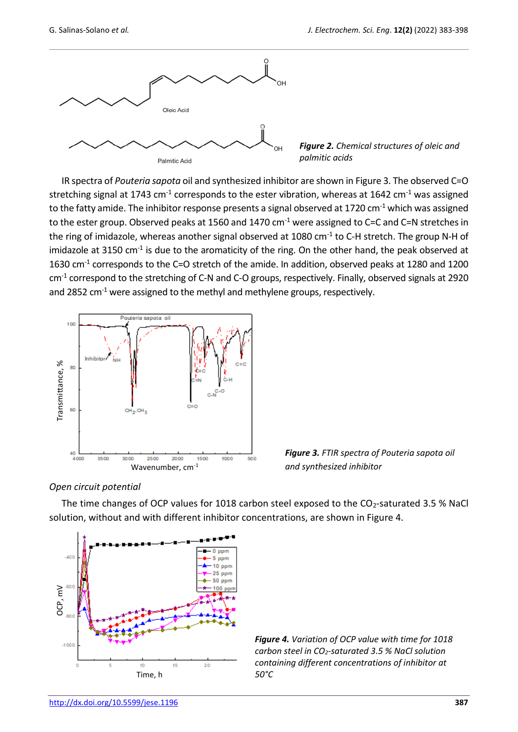

*Figure 2. Chemical structures of oleic and palmitic acids*

IR spectra of *Pouteria sapota* oil and synthesized inhibitor are shown in Figure 3. The observed C=O stretching signal at 1743 cm<sup>-1</sup> corresponds to the ester vibration, whereas at 1642 cm<sup>-1</sup> was assigned to the fatty amide. The inhibitor response presents a signal observed at 1720 cm<sup>-1</sup> which was assigned to the ester group. Observed peaks at 1560 and 1470 cm<sup>-1</sup> were assigned to C=C and C=N stretches in the ring of imidazole, whereas another signal observed at 1080 cm<sup>-1</sup> to C-H stretch. The group N-H of imidazole at 3150 cm<sup>-1</sup> is due to the aromaticity of the ring. On the other hand, the peak observed at 1630 cm<sup>-1</sup> corresponds to the C=O stretch of the amide. In addition, observed peaks at 1280 and 1200 cm<sup>-1</sup> correspond to the stretching of C-N and C-O groups, respectively. Finally, observed signals at 2920 and 2852 cm<sup>-1</sup> were assigned to the methyl and methylene groups, respectively.



*Figure 3. FTIR spectra of Pouteria sapota oil and synthesized inhibitor*

## *Open circuit potential*

The time changes of OCP values for 1018 carbon steel exposed to the CO2-saturated 3.5 % NaCl solution, without and with different inhibitor concentrations, are shown in Figure 4.



*Figure 4. Variation of OCP value with time for 1018 carbon steel in CO2-saturated 3.5 % NaCl solution containing different concentrations of inhibitor at 50°C*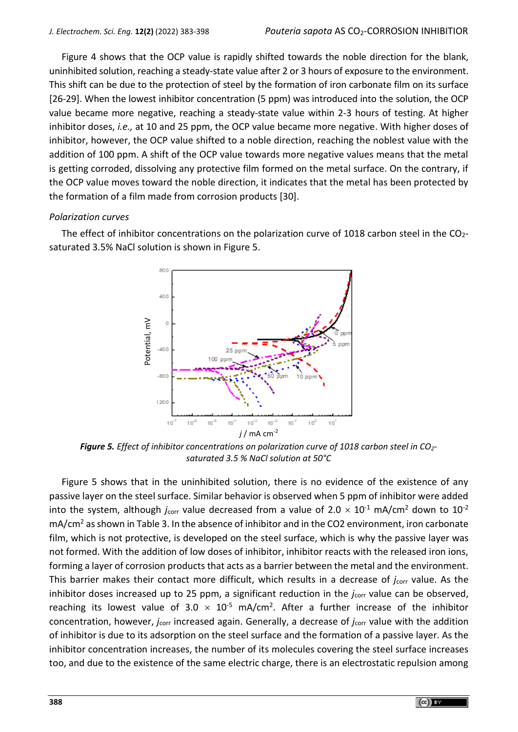Figure 4 shows that the OCP value is rapidly shifted towards the noble direction for the blank, uninhibited solution, reaching a steady-state value after 2 or 3 hours of exposure to the environment. This shift can be due to the protection of steel by the formation of iron carbonate film on its surface [26-29]. When the lowest inhibitor concentration (5 ppm) was introduced into the solution, the OCP value became more negative, reaching a steady-state value within 2-3 hours of testing. At higher inhibitor doses, *i.e.,* at 10 and 25 ppm, the OCP value became more negative. With higher doses of inhibitor, however, the OCP value shifted to a noble direction, reaching the noblest value with the addition of 100 ppm. A shift of the OCP value towards more negative values means that the metal is getting corroded, dissolving any protective film formed on the metal surface. On the contrary, if the OCP value moves toward the noble direction, it indicates that the metal has been protected by the formation of a film made from corrosion products [30].

#### *Polarization curves*

The effect of inhibitor concentrations on the polarization curve of 1018 carbon steel in the  $CO<sub>2</sub>$ saturated 3.5% NaCl solution is shown in Figure 5.



*Figure 5. Effect of inhibitor concentrations on polarization curve of 1018 carbon steel in CO2 saturated 3.5 % NaCl solution at 50°C*

Figure 5 shows that in the uninhibited solution, there is no evidence of the existence of any passive layer on the steel surface. Similar behavior is observed when 5 ppm of inhibitor were added into the system, although  $j_{corr}$  value decreased from a value of  $2.0 \times 10^{-1}$  mA/cm<sup>2</sup> down to  $10^{-2}$ mA/cm<sup>2</sup> as shown in Table 3. In the absence of inhibitor and in the CO2 environment, iron carbonate film, which is not protective, is developed on the steel surface, which is why the passive layer was not formed. With the addition of low doses of inhibitor, inhibitor reacts with the released iron ions, forming a layer of corrosion products that acts as a barrier between the metal and the environment. This barrier makes their contact more difficult, which results in a decrease of *j*<sub>corr</sub> value. As the inhibitor doses increased up to 25 ppm, a significant reduction in the *j*<sub>corr</sub> value can be observed, reaching its lowest value of  $3.0 \times 10^{-5}$  mA/cm<sup>2</sup>. After a further increase of the inhibitor concentration, however, *j*corr increased again. Generally, a decrease of *j*corr value with the addition of inhibitor is due to its adsorption on the steel surface and the formation of a passive layer. As the inhibitor concentration increases, the number of its molecules covering the steel surface increases The existence of the existence of the existence of the same electric charge, there is an electrostatic repulsion among the existence of the same electric controllation among potential, and the existence of the existence o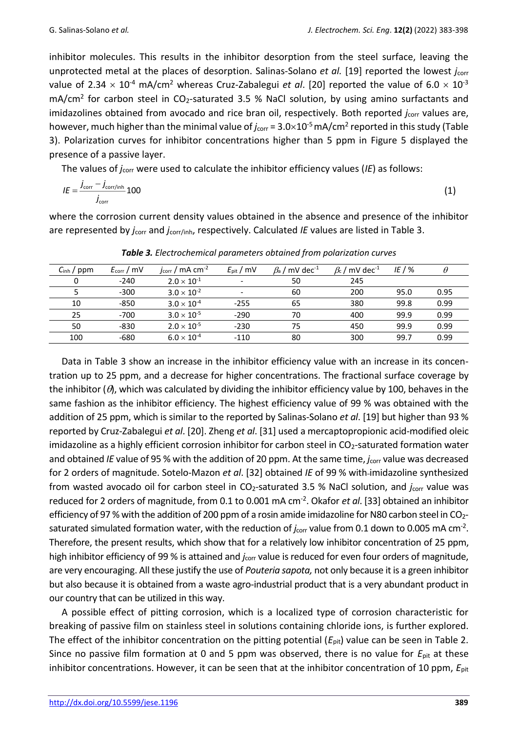inhibitor molecules. This results in the inhibitor desorption from the steel surface, leaving the unprotected metal at the places of desorption. Salinas-Solano *et al.* [19] reported the lowest *j*<sub>corr</sub> value of 2.34  $\times$  10<sup>-4</sup> mA/cm<sup>2</sup> whereas Cruz-Zabalegui *et al.* [20] reported the value of 6.0  $\times$  10<sup>-3</sup> mA/cm<sup>2</sup> for carbon steel in CO<sub>2</sub>-saturated 3.5 % NaCl solution, by using amino surfactants and imidazolines obtained from avocado and rice bran oil, respectively. Both reported *j<sub>corr</sub>* values are, however, much higher than the minimal value of *j*<sub>corr</sub> = 3.0×10<sup>-5</sup> mA/cm<sup>2</sup> reported in this study (Table 3). Polarization curves for inhibitor concentrations higher than 5 ppm in Figure 5 displayed the presence of a passive layer.

The values of *j*corr were used to calculate the inhibitor efficiency values (*IE*) as follows:

$$
IE = \frac{j_{\text{corr}} - j_{\text{corr/inh}}}{j_{\text{corr}}} 100
$$
 (1)

where the corrosion current density values obtained in the absence and presence of the inhibitor are represented by *j*corr and *j*corr/inh, respectively. Calculated *IE* values are listed in Table 3.

| $C_{\text{inh}}$ / ppm | $E_{corr}/mv$ | $j_{corr}$ / mA cm <sup>-2</sup> | $E_{\text{pit}}$ / mV    | $\beta$ <sub>a</sub> / mV dec <sup>-1</sup> | $\beta_c$ / mV dec <sup>-1</sup> | IE / $%$ | $\theta$ |
|------------------------|---------------|----------------------------------|--------------------------|---------------------------------------------|----------------------------------|----------|----------|
| 0                      | $-240$        | $2.0 \times 10^{-1}$             | $\overline{\phantom{a}}$ | 50                                          | 245                              |          |          |
|                        | $-300$        | $3.0 \times 10^{-2}$             | $\qquad \qquad -$        | 60                                          | 200                              | 95.0     | 0.95     |
| 10                     | -850          | $3.0 \times 10^{-4}$             | $-255$                   | 65                                          | 380                              | 99.8     | 0.99     |
| 25                     | $-700$        | $3.0 \times 10^{-5}$             | $-290$                   | 70                                          | 400                              | 99.9     | 0.99     |
| 50                     | $-830$        | $2.0 \times 10^{-5}$             | $-230$                   | 75                                          | 450                              | 99.9     | 0.99     |
| 100                    | -680          | $6.0\times10^{\text{-}4}$        | $-110$                   | 80                                          | 300                              | 99.7     | 0.99     |

*Table 3. Electrochemical parameters obtained from polarization curves*

Data in Table 3 show an increase in the inhibitor efficiency value with an increase in its concentration up to 25 ppm, and a decrease for higher concentrations. The fractional surface coverage by the inhibitor  $(\theta)$ , which was calculated by dividing the inhibitor efficiency value by 100, behaves in the same fashion as the inhibitor efficiency. The highest efficiency value of 99 % was obtained with the addition of 25 ppm, which is similar to the reported by Salinas-Solano *et al*. [19] but higher than 93 % reported by Cruz-Zabalegui *et al*. [20]. Zheng *et al*. [31] used a mercaptopropionic acid-modified oleic imidazoline as a highly efficient corrosion inhibitor for carbon steel in  $CO<sub>2</sub>$ -saturated formation water and obtained *IE* value of 95 % with the addition of 20 ppm. At the same time, *j*<sub>corr</sub> value was decreased for 2 orders of magnitude. Sotelo-Mazon *et al*. [32] obtained *IE* of 99 % with imidazoline synthesized from wasted avocado oil for carbon steel in CO<sub>2</sub>-saturated 3.5 % NaCl solution, and *j*<sub>corr</sub> value was reduced for 2 orders of magnitude, from 0.1 to 0.001 mA cm-2 . Okafor *et al*. [33] obtained an inhibitor efficiency of 97 % with the addition of 200 ppm of a rosin amide imidazoline for N80 carbon steel in CO<sub>2</sub>saturated simulated formation water, with the reduction of  $j_{\text{corr}}$  value from 0.1 down to 0.005 mA cm<sup>-2</sup>. Therefore, the present results, which show that for a relatively low inhibitor concentration of 25 ppm, high inhibitor efficiency of 99 % is attained and *j*corr value is reduced for even four orders of magnitude, are very encouraging. All these justify the use of *Pouteria sapota,* not only because it is a green inhibitor but also because it is obtained from a waste agro-industrial product that is a very abundant product in our country that can be utilized in this way.

A possible effect of pitting corrosion, which is a localized type of corrosion characteristic for breaking of passive film on stainless steel in solutions containing chloride ions, is further explored. The effect of the inhibitor concentration on the pitting potential  $(E_{\text{pit}})$  value can be seen in Table 2. Since no passive film formation at 0 and 5 ppm was observed, there is no value for *E*pit at these inhibitor concentrations. However, it can be seen that at the inhibitor concentration of 10 ppm,  $E_{\text{pit}}$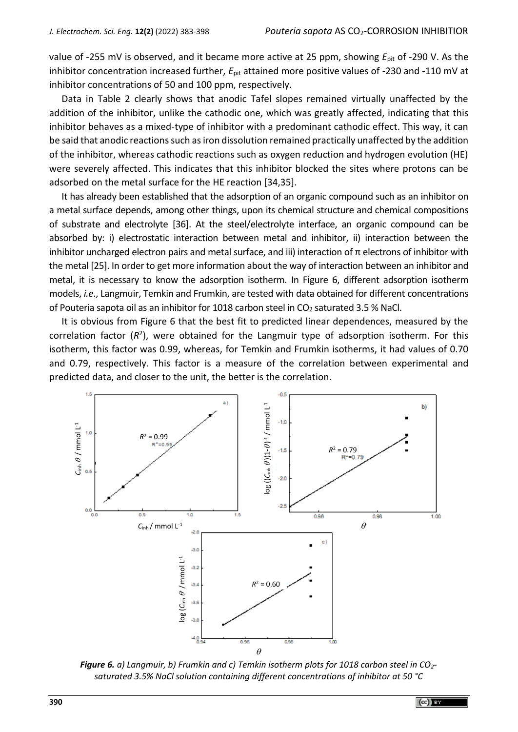value of -255 mV is observed, and it became more active at 25 ppm, showing *E*pit of -290 V. As the inhibitor concentration increased further,  $E_{\text{pit}}$  attained more positive values of -230 and -110 mV at inhibitor concentrations of 50 and 100 ppm, respectively.

Data in Table 2 clearly shows that anodic Tafel slopes remained virtually unaffected by the addition of the inhibitor, unlike the cathodic one, which was greatly affected, indicating that this inhibitor behaves as a mixed-type of inhibitor with a predominant cathodic effect. This way, it can be said that anodic reactions such as iron dissolution remained practically unaffected by the addition of the inhibitor, whereas cathodic reactions such as oxygen reduction and hydrogen evolution (HE) were severely affected. This indicates that this inhibitor blocked the sites where protons can be adsorbed on the metal surface for the HE reaction [34,35].

It has already been established that the adsorption of an organic compound such as an inhibitor on a metal surface depends, among other things, upon its chemical structure and chemical compositions of substrate and electrolyte [36]. At the steel/electrolyte interface, an organic compound can be absorbed by: i) electrostatic interaction between metal and inhibitor, ii) interaction between the inhibitor uncharged electron pairs and metal surface, and iii) interaction of  $\pi$  electrons of inhibitor with the metal [25]. In order to get more information about the way of interaction between an inhibitor and metal, it is necessary to know the adsorption isotherm. In Figure 6, different adsorption isotherm models, *i.e*., Langmuir, Temkin and Frumkin, are tested with data obtained for different concentrations of Pouteria sapota oil as an inhibitor for 1018 carbon steel in CO<sup>2</sup> saturated 3.5 % NaCl.

It is obvious from Figure 6 that the best fit to predicted linear dependences, measured by the correlation factor (R<sup>2</sup>), were obtained for the Langmuir type of adsorption isotherm. For this isotherm, this factor was 0.99, whereas, for Temkin and Frumkin isotherms, it had values of 0.70 and 0.79, respectively. This factor is a measure of the correlation between experimental and predicted data, and closer to the unit, the better is the correlation.



*Figure 6. a) Langmuir, b) Frumkin and c) Temkin isotherm plots for 1018 carbon steel in CO2-*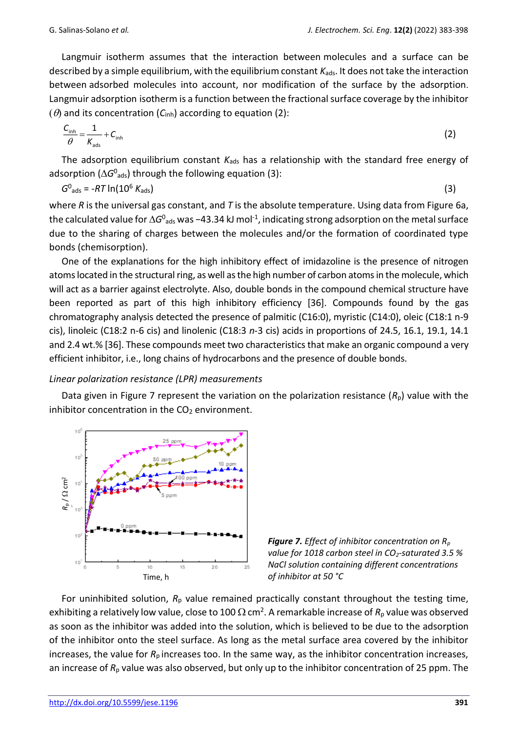Langmuir isotherm assumes that the interaction between molecules and a surface can be described by a simple equilibrium, with the equilibrium constant  $K_{ads}$ . It does not take the interaction between adsorbed molecules into account, nor modification of the surface by the adsorption. Langmuir adsorption isotherm is a function between the fractional surface coverage by the inhibitor  $(\theta)$  and its concentration  $(C_{inh})$  according to equation (2):

$$
\frac{C_{\text{inh}}}{\theta} = \frac{1}{K_{\text{ads}}} + C_{\text{inh}}
$$
 (2)

The adsorption equilibrium constant  $K_{\text{ads}}$  has a relationship with the standard free energy of adsorption ( $\Delta G^0$ <sub>ads</sub>) through the following equation (3):

$$
G0_{ads} = -RT \ln(106 Kads)
$$
 (3)

where *R* is the universal gas constant, and *T* is the absolute temperature. Using data from Figure 6a, the calculated value for ∆G<sup>o</sup><sub>ads</sub> was −43.34 kJ mol<sup>-1</sup>, indicating strong adsorption on the metal surface due to the sharing of charges between the molecules and/or the formation of coordinated type bonds (chemisorption).

One of the explanations for the high inhibitory effect of imidazoline is the presence of nitrogen atoms located in the structural ring, as well as the high number of carbon atoms in the molecule, which will act as a barrier against electrolyte. Also, double bonds in the compound chemical structure have been reported as part of this high inhibitory efficiency [36]. Compounds found by the gas chromatography analysis detected the presence of palmitic (C16:0), myristic (C14:0), oleic (C18:1 n-9 cis), linoleic (C18:2 n-6 cis) and linolenic (C18:3 *n*-3 cis) acids in proportions of 24.5, 16.1, 19.1, 14.1 and 2.4 wt.% [36]. These compounds meet two characteristics that make an organic compound a very efficient inhibitor, i.e., long chains of hydrocarbons and the presence of double bonds.

## *Linear polarization resistance (LPR) measurements*

Data given in Figure 7 represent the variation on the polarization resistance  $(R_p)$  value with the inhibitor concentration in the  $CO<sub>2</sub>$  environment.





For uninhibited solution,  $R_p$  value remained practically constant throughout the testing time, exhibiting a relatively low value, close to 100  $\Omega$  cm<sup>2</sup>. A remarkable increase of  $R_\text{p}$  value was observed as soon as the inhibitor was added into the solution, which is believed to be due to the adsorption of the inhibitor onto the steel surface. As long as the metal surface area covered by the inhibitor increases, the value for *R*p increases too. In the same way, as the inhibitor concentration increases, an increase of  $R_p$  value was also observed, but only up to the inhibitor concentration of 25 ppm. The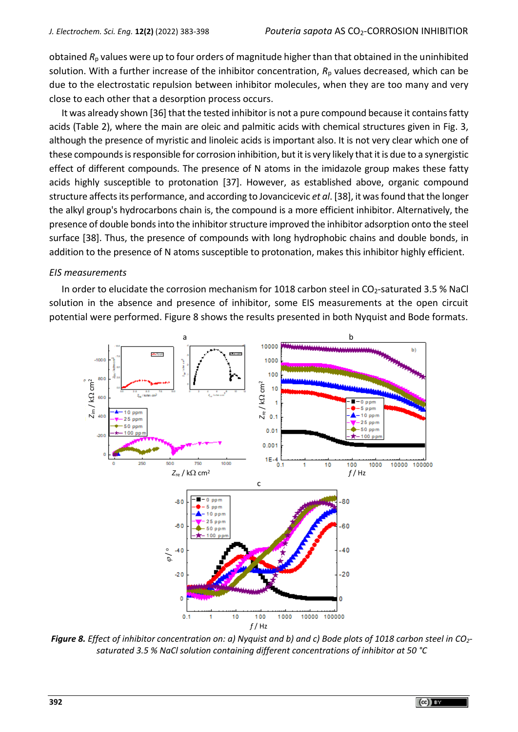obtained *R*<sup>p</sup> values were up to four orders of magnitude higher than that obtained in the uninhibited solution. With a further increase of the inhibitor concentration,  $R<sub>p</sub>$  values decreased, which can be due to the electrostatic repulsion between inhibitor molecules, when they are too many and very close to each other that a desorption process occurs.

It was already shown [36] that the tested inhibitor is not a pure compound because it contains fatty acids (Table 2), where the main are oleic and palmitic acids with chemical structures given in Fig. 3, although the presence of myristic and linoleic acids is important also. It is not very clear which one of these compounds isresponsible for corrosion inhibition, but it is very likely that it is due to a synergistic effect of different compounds. The presence of N atoms in the imidazole group makes these fatty acids highly susceptible to protonation [37]. However, as established above, organic compound structure affects its performance, and according to Jovancicevic *et al*. [38], it was found that the longer the alkyl group's hydrocarbons chain is, the compound is a more efficient inhibitor. Alternatively, the presence of double bonds into the inhibitor structure improved the inhibitor adsorption onto the steel surface [38]. Thus, the presence of compounds with long hydrophobic chains and double bonds, in addition to the presence of N atoms susceptible to protonation, makes this inhibitor highly efficient.

## *EIS measurements*

In order to elucidate the corrosion mechanism for 1018 carbon steel in  $CO_2$ -saturated 3.5 % NaCl solution in the absence and presence of inhibitor, some EIS measurements at the open circuit potential were performed. Figure 8 shows the results presented in both Nyquist and Bode formats.



*Figure 8. Effect of inhibitor concentration on: a) Nyquist and b) and c) Bode plots of 1018 carbon steel in CO2 saturated 3.5 % NaCl solution containing different concentrations of inhibitor at 50 °C*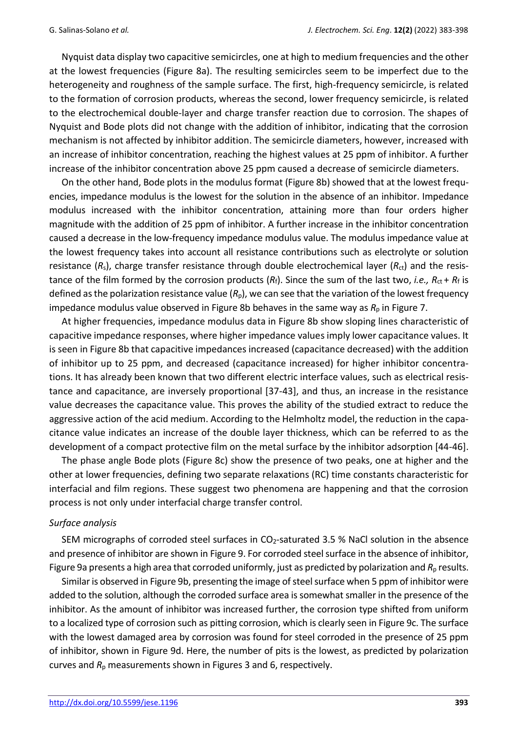Nyquist data display two capacitive semicircles, one at high to medium frequencies and the other at the lowest frequencies (Figure 8a). The resulting semicircles seem to be imperfect due to the heterogeneity and roughness of the sample surface. The first, high-frequency semicircle, is related to the formation of corrosion products, whereas the second, lower frequency semicircle, is related to the electrochemical double-layer and charge transfer reaction due to corrosion. The shapes of Nyquist and Bode plots did not change with the addition of inhibitor, indicating that the corrosion mechanism is not affected by inhibitor addition. The semicircle diameters, however, increased with an increase of inhibitor concentration, reaching the highest values at 25 ppm of inhibitor. A further increase of the inhibitor concentration above 25 ppm caused a decrease of semicircle diameters.

On the other hand, Bode plots in the modulus format (Figure 8b) showed that at the lowest frequencies, impedance modulus is the lowest for the solution in the absence of an inhibitor. Impedance modulus increased with the inhibitor concentration, attaining more than four orders higher magnitude with the addition of 25 ppm of inhibitor. A further increase in the inhibitor concentration caused a decrease in the low-frequency impedance modulus value. The modulus impedance value at the lowest frequency takes into account all resistance contributions such as electrolyte or solution resistance ( $R_s$ ), charge transfer resistance through double electrochemical layer ( $R_{\rm ct}$ ) and the resistance of the film formed by the corrosion products  $(R_f)$ . Since the sum of the last two, *i.e.*,  $R_{ct}$  +  $R_f$  is defined as the polarization resistance value (*R*p), we can see that the variation of the lowest frequency impedance modulus value observed in Figure 8b behaves in the same way as  $R_p$  in Figure 7.

At higher frequencies, impedance modulus data in Figure 8b show sloping lines characteristic of capacitive impedance responses, where higher impedance values imply lower capacitance values. It is seen in Figure 8b that capacitive impedances increased (capacitance decreased) with the addition of inhibitor up to 25 ppm, and decreased (capacitance increased) for higher inhibitor concentrations. It has already been known that two different electric interface values, such as electrical resistance and capacitance, are inversely proportional [37-43], and thus, an increase in the resistance value decreases the capacitance value. This proves the ability of the studied extract to reduce the aggressive action of the acid medium. According to the Helmholtz model, the reduction in the capacitance value indicates an increase of the double layer thickness, which can be referred to as the development of a compact protective film on the metal surface by the inhibitor adsorption [44-46].

The phase angle Bode plots (Figure 8c) show the presence of two peaks, one at higher and the other at lower frequencies, defining two separate relaxations (RC) time constants characteristic for interfacial and film regions. These suggest two phenomena are happening and that the corrosion process is not only under interfacial charge transfer control.

#### *Surface analysis*

SEM micrographs of corroded steel surfaces in  $CO<sub>2</sub>$ -saturated 3.5 % NaCl solution in the absence and presence of inhibitor are shown in Figure 9. For corroded steel surface in the absence of inhibitor, Figure 9a presents a high area that corroded uniformly, just as predicted by polarization and  $R<sub>p</sub>$  results.

Similar is observed in Figure 9b, presenting the image of steel surface when 5 ppm of inhibitor were added to the solution, although the corroded surface area is somewhat smaller in the presence of the inhibitor. As the amount of inhibitor was increased further, the corrosion type shifted from uniform to a localized type of corrosion such as pitting corrosion, which is clearly seen in Figure 9c. The surface with the lowest damaged area by corrosion was found for steel corroded in the presence of 25 ppm of inhibitor, shown in Figure 9d. Here, the number of pits is the lowest, as predicted by polarization curves and *R*<sup>p</sup> measurements shown in Figures 3 and 6, respectively.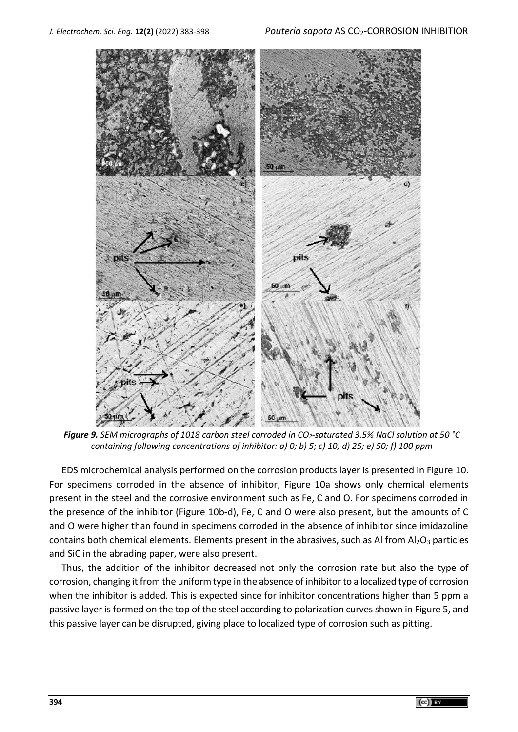

*Figure 9. SEM micrographs of 1018 carbon steel corroded in CO2-saturated 3.5% NaCl solution at 50 °C containing following concentrations of inhibitor: a) 0; b) 5; c) 10; d) 25; e) 50; f) 100 ppm*

EDS microchemical analysis performed on the corrosion products layer is presented in Figure 10. For specimens corroded in the absence of inhibitor, Figure 10a shows only chemical elements present in the steel and the corrosive environment such as Fe, C and O. For specimens corroded in the presence of the inhibitor (Figure 10b-d), Fe, C and O were also present, but the amounts of C and O were higher than found in specimens corroded in the absence of inhibitor since imidazoline contains both chemical elements. Elements present in the abrasives, such as Al from  $Al_2O_3$  particles and SiC in the abrading paper, were also present.

Thus, the addition of the inhibitor decreased not only the corrosion rate but also the type of corrosion, changing it from the uniform type in the absence of inhibitor to a localized type of corrosion when the inhibitor is added. This is expected since for inhibitor concentrations higher than 5 ppm a passive layer is formed on the top of the steel according to polarization curves shown in Figure 5, and this passive layer can be disrupted, giving place to localized type of corrosion such as pitting.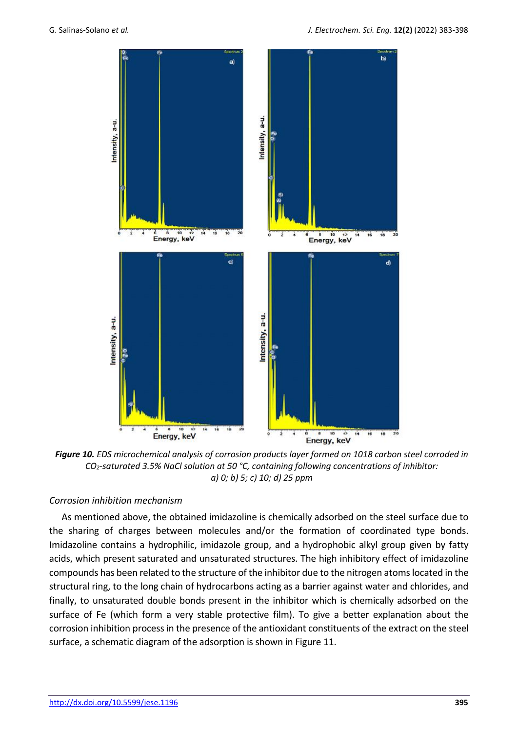

*Figure 10. EDS microchemical analysis of corrosion products layer formed on 1018 carbon steel corroded in CO2-saturated 3.5% NaCl solution at 50 °C, containing following concentrations of inhibitor: a) 0; b) 5; c) 10; d) 25 ppm*

## *Corrosion inhibition mechanism*

As mentioned above, the obtained imidazoline is chemically adsorbed on the steel surface due to the sharing of charges between molecules and/or the formation of coordinated type bonds. Imidazoline contains a hydrophilic, imidazole group, and a hydrophobic alkyl group given by fatty acids, which present saturated and unsaturated structures. The high inhibitory effect of imidazoline compounds has been related to the structure of the inhibitor due to the nitrogen atoms located in the structural ring, to the long chain of hydrocarbons acting as a barrier against water and chlorides, and finally, to unsaturated double bonds present in the inhibitor which is chemically adsorbed on the surface of Fe (which form a very stable protective film). To give a better explanation about the corrosion inhibition process in the presence of the antioxidant constituents of the extract on the steel surface, a schematic diagram of the adsorption is shown in Figure 11.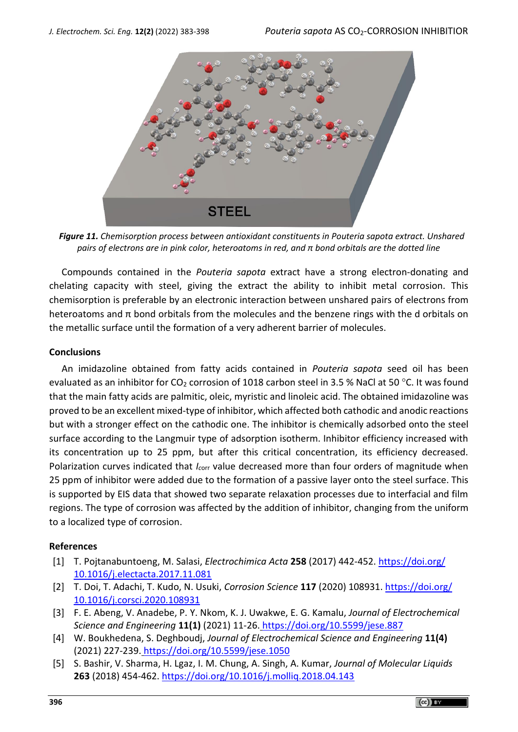

*Figure 11. Chemisorption process between antioxidant constituents in Pouteria sapota extract. Unshared pairs of electrons are in pink color, heteroatoms in red, and π bond orbitals are the dotted line*

Compounds contained in the *Pouteria sapota* extract have a strong electron-donating and chelating capacity with steel, giving the extract the ability to inhibit metal corrosion. This chemisorption is preferable by an electronic interaction between unshared pairs of electrons from heteroatoms and π bond orbitals from the molecules and the benzene rings with the d orbitals on the metallic surface until the formation of a very adherent barrier of molecules.

## **Conclusions**

An imidazoline obtained from fatty acids contained in *Pouteria sapota* seed oil has been evaluated as an inhibitor for CO<sub>2</sub> corrosion of 1018 carbon steel in 3.5 % NaCl at 50 °C. It was found that the main fatty acids are palmitic, oleic, myristic and linoleic acid. The obtained imidazoline was proved to be an excellent mixed-type of inhibitor, which affected both cathodic and anodic reactions but with a stronger effect on the cathodic one. The inhibitor is chemically adsorbed onto the steel surface according to the Langmuir type of adsorption isotherm. Inhibitor efficiency increased with its concentration up to 25 ppm, but after this critical concentration, its efficiency decreased. Polarization curves indicated that *I*<sub>corr</sub> value decreased more than four orders of magnitude when 25 ppm of inhibitor were added due to the formation of a passive layer onto the steel surface. This is supported by EIS data that showed two separate relaxation processes due to interfacial and film regions. The type of corrosion was affected by the addition of inhibitor, changing from the uniform to a localized type of corrosion.

## **References**

- [1] T. Pojtanabuntoeng, M. Salasi, *Electrochimica Acta* **258** (2017) 442-452. [https://doi.org/](https://doi.org/10.1016/j.electacta.2017.11.081) [10.1016/j.electacta.2017.11.081](https://doi.org/10.1016/j.electacta.2017.11.081)
- [2] T. Doi, T. Adachi, T. Kudo, N. Usuki, *Corrosion Science* **117** (2020) 108931. [https://doi.org/](https://doi.org/10.1016/j.corsci.2020.108931) [10.1016/j.corsci.2020.108931](https://doi.org/10.1016/j.corsci.2020.108931)
- [3] F. E. Abeng, V. Anadebe, P. Y. Nkom, K. J. Uwakwe, E. G. Kamalu, *Journal of Electrochemical Science and Engineering* **11(1)** (2021) 11-26. <https://doi.org/10.5599/jese.887>
- [4] W. Boukhedena, S. Deghboudj, *Journal of Electrochemical Science and Engineering* **11(4)** (2021) 227-239. <https://doi.org/10.5599/jese.1050>
- [5] S. Bashir, V. Sharma, H. Lgaz, I. M. Chung, A. Singh, A. Kumar, *Journal of Molecular Liquids* **263** (2018) 454-462. <https://doi.org/10.1016/j.molliq.2018.04.143>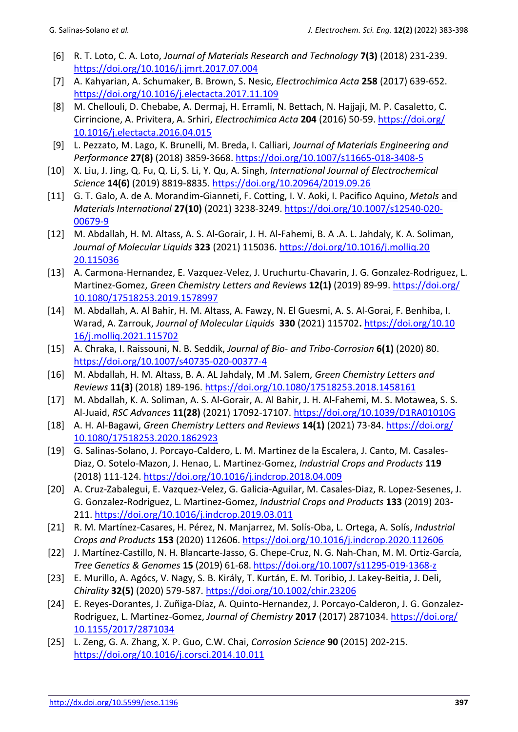- [6] R. T. Loto, C. A. Loto, *Journal of Materials Research and Technology* **7(3)** (2018) 231-239. <https://doi.org/10.1016/j.jmrt.2017.07.004>
- [7] A. Kahyarian, A. Schumaker, B. Brown, S. Nesic, *Electrochimica Acta* **258** (2017) 639-652. <https://doi.org/10.1016/j.electacta.2017.11.109>
- [8] M. Chellouli, D. Chebabe, A. Dermaj, H. Erramli, N. Bettach, N. Hajjaji, M. P. Casaletto, C. Cirrincione, A. Privitera, A. Srhiri, *Electrochimica Acta* **204** (2016) 50-59. [https://doi.org/](https://doi.org/10.1016/j.electacta.2016.04.015) [10.1016/j.electacta.2016.04.015](https://doi.org/10.1016/j.electacta.2016.04.015)
- [9] L. Pezzato, M. Lago, K. Brunelli, M. Breda, I. Calliari, *Journal of Materials Engineering and Performance* **27(8)** (2018) 3859-3668.<https://doi.org/10.1007/s11665-018-3408-5>
- [10] X. Liu, J. Jing, Q. Fu, Q. Li, S. Li, Y. Qu, A. Singh, *International Journal of Electrochemical Science* **14(6)** (2019) 8819-8835.<https://doi.org/10.20964/2019.09.26>
- [11] G. T. Galo, A. de A. Morandim-Gianneti, F. Cotting, I. [V. Aoki, I. Pacifico Aquino,](javascript:;) *Metals* and *Materials International* **27(10)** (2021) 3238-3249. [https://doi.org/10.1007/s12540-020-](https://doi.org/10.1007/s12540-020-00679-9) [00679-9](https://doi.org/10.1007/s12540-020-00679-9)
- [12] M. Abdallah, H. M. Altass, A. S. Al-Gorair, J. H. Al-Fahemi, B. A .A. L. Jahdaly, K. A. Soliman, *Journal of Molecular Liquids* **323** (2021) 115036. [https://doi.org/10.1016/j.molliq.20](https://doi.org/10.1016/j.molliq.2020.115036) [20.115036](https://doi.org/10.1016/j.molliq.2020.115036)
- [13] A. Carmona-Hernandez, E. Vazquez-Velez, J. Uruchurtu-Chavarin, J. G. Gonzalez-Rodriguez, L. Martinez-Gomez, *Green Chemistry Letters and Reviews* **12(1)** (2019) 89-99[. https://doi.org/](https://doi.org/10.1080/17518253.2019.1578997) [10.1080/17518253.2019.1578997](https://doi.org/10.1080/17518253.2019.1578997)
- [14] M. [Abdallah,](https://www.sciencedirect.com/science/article/abs/pii/S016773222100427X#!) A. Al Bahir, H. M. Altass, A. Fawzy, N. El Guesmi, A. S. Al-Gorai, F. Benhiba, I. Warad, A. Zarrouk, *Journal of Molecular Liquids* **[330](https://www.sciencedirect.com/science/journal/01677322/330/supp/C)** (2021) 115702**.** [https://doi.org/10.10](https://doi.org/10.10‌16/j.molliq.2021.115702) [16/j.molliq.2021.115702](https://doi.org/10.10‌16/j.molliq.2021.115702)
- [15] A. Chraka, I. Raissouni, N. B. Seddik, *Journal of Bio- and Tribo-Corrosion* **6(1)** (2020) 80. <https://doi.org/10.1007/s40735-020-00377-4>
- [16] M. Abdallah, H. M. Altass, B. A. AL Jahdaly, M .M. Salem, *Green Chemistry Letters and Reviews* **11(3)** (2018) 189-196.<https://doi.org/10.1080/17518253.2018.1458161>
- [17] M. Abdallah, K. A. Soliman, A. S. Al-Gorair, A. Al Bahir, J. H. Al-Fahemi, M. S. Motawea, S. S. Al-Juaid, *RSC Advances* **11(28)** (2021) 17092-17107.<https://doi.org/10.1039/D1RA01010G>
- [18] A. H. Al-Bagawi, *Green Chemistry Letters and Reviews* **14(1)** (2021) 73-84. [https://doi.org/](https://doi.org/10.1080/17518253.2020.1862923) [10.1080/17518253.2020.1862923](https://doi.org/10.1080/17518253.2020.1862923)
- [19] G. Salinas-Solano, J. Porcayo-Caldero, L. M. Martinez de la Escalera, J. Canto, M. Casales-Diaz, O. Sotelo-Mazon, J. Henao, L. Martinez-Gomez, *Industrial Crops and Products* **119**  (2018) 111-124.<https://doi.org/10.1016/j.indcrop.2018.04.009>
- [20] A. Cruz-Zabalegui, E. Vazquez-Velez, G. Galicia-Aguilar, M. Casales-Diaz, R. Lopez-Sesenes, J. G. Gonzalez-Rodriguez, L. Martinez-Gomez, *Industrial Crops and Products* **133** (2019) 203- 211.<https://doi.org/10.1016/j.indcrop.2019.03.011>
- [21] R. M. Martínez-Casares, H. Pérez, N. Manjarrez, M. Solís-Oba, L. Ortega, A. Solís, *Industrial Crops and Products* **153** (2020) 112606.<https://doi.org/10.1016/j.indcrop.2020.112606>
- [22] J. Martínez-Castillo, N. H. Blancarte-Jasso, G. Chepe-Cruz, N. G. Nah-Chan, M. M. Ortiz-García, *Tree Genetics & Genomes* **15** (2019) 61-68[. https://doi.org/10.1007/s11295-019-1368-z](https://doi.org/10.1007/s11295-019-1368-z)
- [23] E. Murillo, A. Agócs, V. Nagy, S. B. Király, T. Kurtán, E. M. Toribio, J. Lakey-Beitia, J. Deli, *Chirality* **32(5)** (2020) 579-587.<https://doi.org/10.1002/chir.23206>
- [24] E. Reyes-Dorantes, J. Zuñiga-Díaz, A. Quinto-Hernandez, J. Porcayo-Calderon, J. G. Gonzalez-Rodriguez, L. Martinez-Gomez, *Journal of Chemistry* **2017** (2017) 2871034. [https://doi.org/](https://doi.org/10.1155/2017/2871034) [10.1155/2017/2871034](https://doi.org/10.1155/2017/2871034)
- [25] L. Zeng, G. A. Zhang, X. P. Guo, C.W. Chai, *Corrosion Science* **90** (2015) 202-215. <https://doi.org/10.1016/j.corsci.2014.10.011>